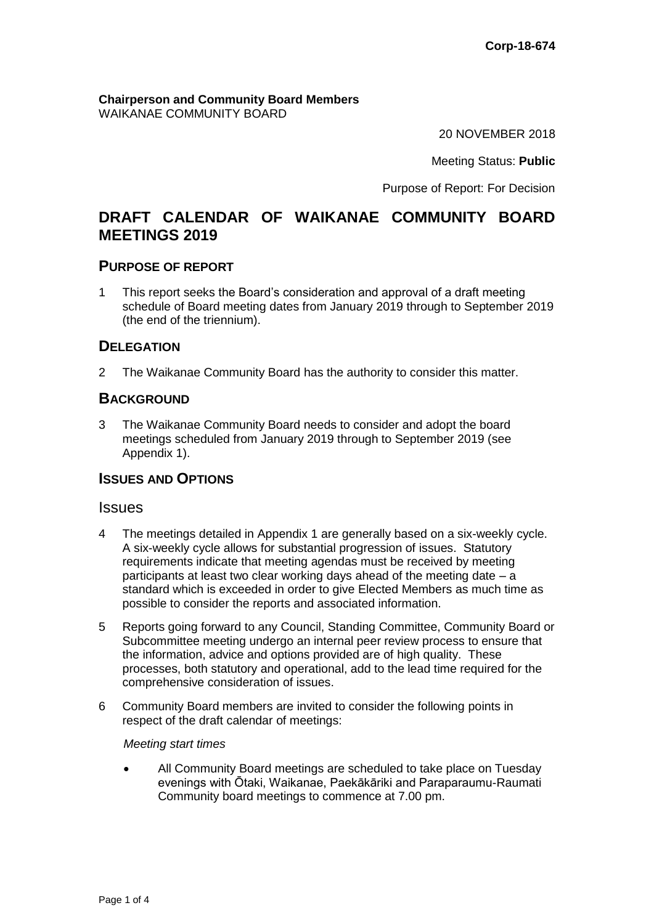**Chairperson and Community Board Members**  WAIKANAE COMMUNITY BOARD

20 NOVEMBER 2018

Meeting Status: **Public**

Purpose of Report: For Decision

# **DRAFT CALENDAR OF WAIKANAE COMMUNITY BOARD MEETINGS 2019**

#### **PURPOSE OF REPORT**

1 This report seeks the Board's consideration and approval of a draft meeting schedule of Board meeting dates from January 2019 through to September 2019 (the end of the triennium).

## **DELEGATION**

2 The Waikanae Community Board has the authority to consider this matter.

## **BACKGROUND**

3 The Waikanae Community Board needs to consider and adopt the board meetings scheduled from January 2019 through to September 2019 (see Appendix 1).

#### **ISSUES AND OPTIONS**

#### **Issues**

- 4 The meetings detailed in Appendix 1 are generally based on a six-weekly cycle. A six-weekly cycle allows for substantial progression of issues. Statutory requirements indicate that meeting agendas must be received by meeting participants at least two clear working days ahead of the meeting date – a standard which is exceeded in order to give Elected Members as much time as possible to consider the reports and associated information.
- 5 Reports going forward to any Council, Standing Committee, Community Board or Subcommittee meeting undergo an internal peer review process to ensure that the information, advice and options provided are of high quality. These processes, both statutory and operational, add to the lead time required for the comprehensive consideration of issues.
- 6 Community Board members are invited to consider the following points in respect of the draft calendar of meetings:

#### *Meeting start times*

 All Community Board meetings are scheduled to take place on Tuesday evenings with Ōtaki, Waikanae, Paekākāriki and Paraparaumu-Raumati Community board meetings to commence at 7.00 pm.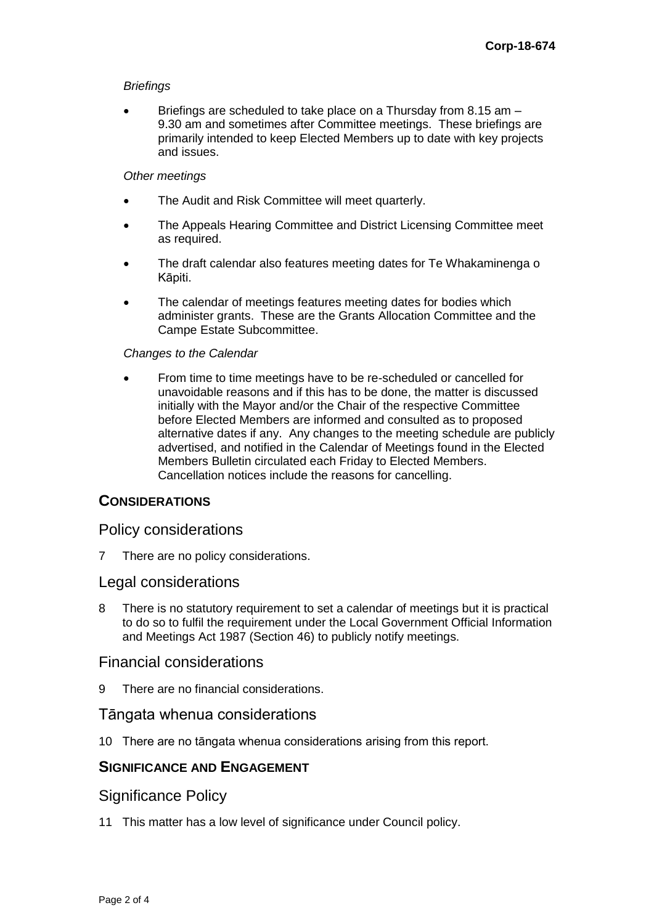#### *Briefings*

 Briefings are scheduled to take place on a Thursday from 8.15 am – 9.30 am and sometimes after Committee meetings. These briefings are primarily intended to keep Elected Members up to date with key projects and issues.

#### *Other meetings*

- The Audit and Risk Committee will meet quarterly.
- The Appeals Hearing Committee and District Licensing Committee meet as required.
- The draft calendar also features meeting dates for Te Whakaminenga o Kāpiti.
- The calendar of meetings features meeting dates for bodies which administer grants. These are the Grants Allocation Committee and the Campe Estate Subcommittee.

#### *Changes to the Calendar*

 From time to time meetings have to be re-scheduled or cancelled for unavoidable reasons and if this has to be done, the matter is discussed initially with the Mayor and/or the Chair of the respective Committee before Elected Members are informed and consulted as to proposed alternative dates if any. Any changes to the meeting schedule are publicly advertised, and notified in the Calendar of Meetings found in the Elected Members Bulletin circulated each Friday to Elected Members. Cancellation notices include the reasons for cancelling.

## **CONSIDERATIONS**

## Policy considerations

7 There are no policy considerations.

## Legal considerations

8 There is no statutory requirement to set a calendar of meetings but it is practical to do so to fulfil the requirement under the Local Government Official Information and Meetings Act 1987 (Section 46) to publicly notify meetings.

## Financial considerations

9 There are no financial considerations.

## Tāngata whenua considerations

10 There are no tāngata whenua considerations arising from this report.

## **SIGNIFICANCE AND ENGAGEMENT**

## Significance Policy

11 This matter has a low level of significance under Council policy.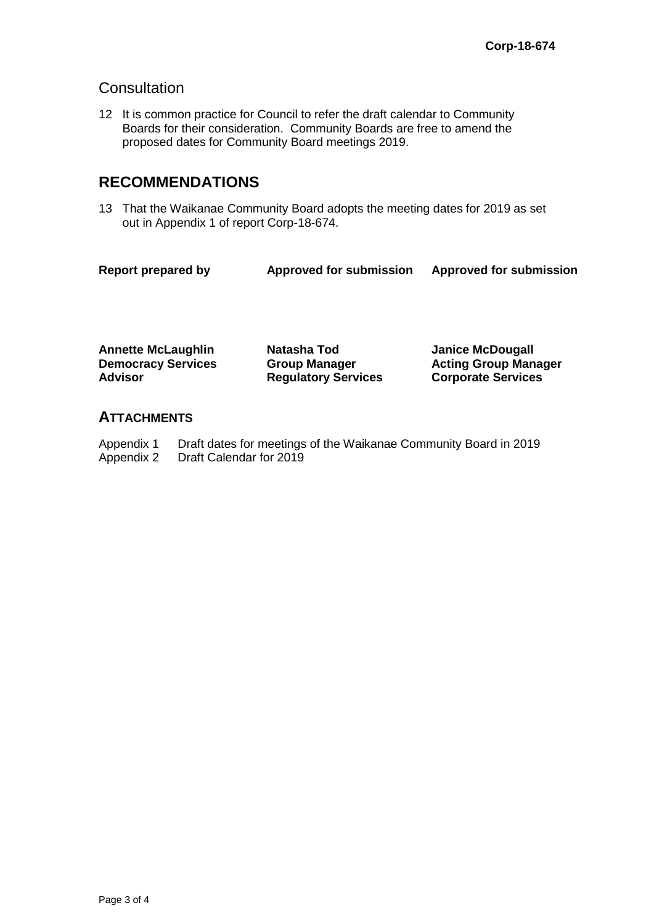## **Consultation**

12 It is common practice for Council to refer the draft calendar to Community Boards for their consideration. Community Boards are free to amend the proposed dates for Community Board meetings 2019.

# **RECOMMENDATIONS**

13 That the Waikanae Community Board adopts the meeting dates for 2019 as set out in Appendix 1 of report Corp-18-674.

| <b>Report prepared by</b> | <b>Approved for submission</b> | <b>Approved for submission</b> |
|---------------------------|--------------------------------|--------------------------------|
|                           |                                |                                |

**Annette McLaughlin Natasha Tod Janice McDougall Democracy Services Advisor**

**Group Manager Regulatory Services** **Acting Group Manager Corporate Services**

## **ATTACHMENTS**

Appendix 1 Draft dates for meetings of the Waikanae Community Board in 2019<br>Appendix 2 Draft Calendar for 2019 Draft Calendar for 2019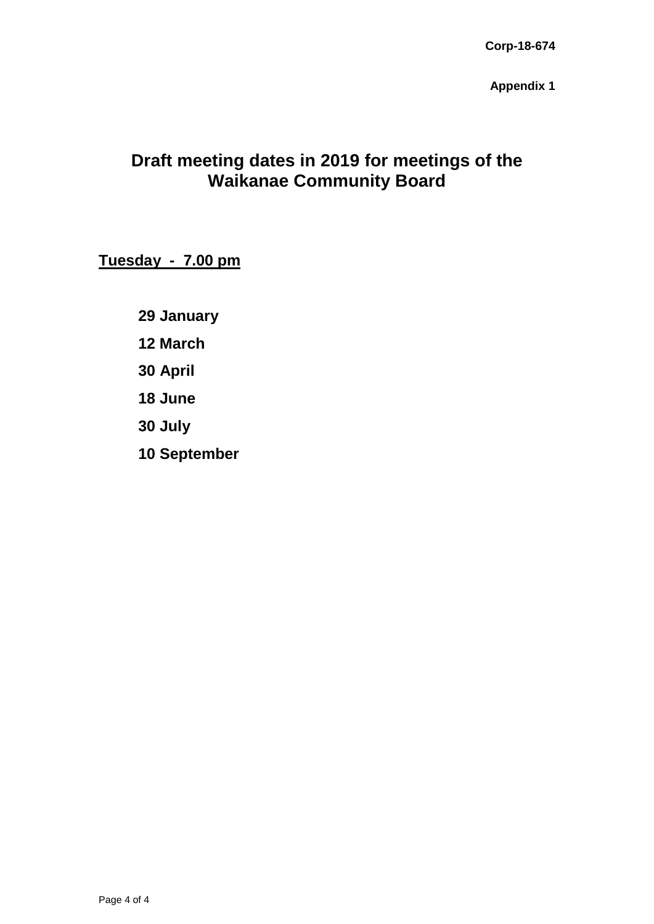**Appendix 1**

# **Draft meeting dates in 2019 for meetings of the Waikanae Community Board**

**Tuesday - 7.00 pm**

**29 January**

**12 March**

**30 April**

**18 June**

**30 July**

**10 September**